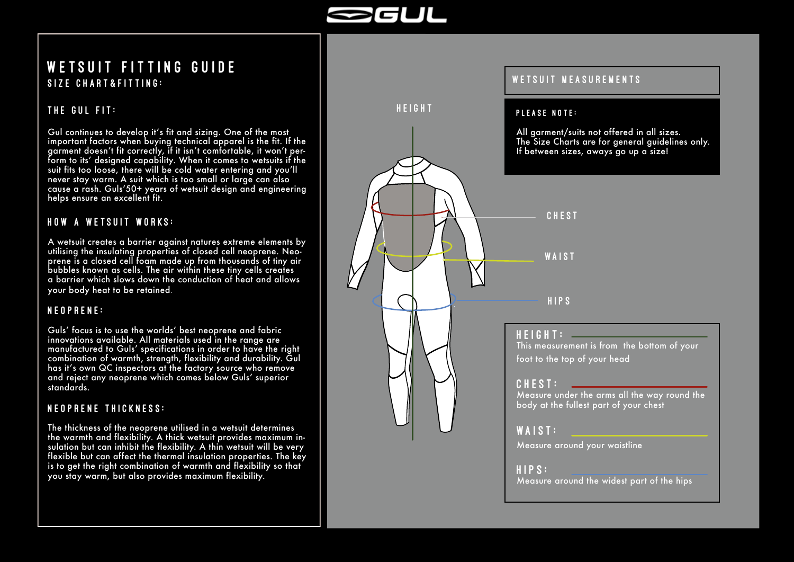

### Size Chart&Fitting: WETSUIT FITTING GUIDE

#### THE GUL FIT:

Gul continues to develop it's fit and sizing. One of the most important factors when buying technical apparel is the fit. If the garment doesn't fit correctly, if it isn't comfortable, it won't per form to its' designed capability. When it comes to wetsuits if the suit fits too loose, there will be cold water entering and you'll never stay warm. A suit which is too small or large can also cause a rash. Guls'50+ years of wetsuit design and engineering helps ensure an excellent fit.

#### HOW A WETSUIT WORKS:

A wetsuit creates a barrier against natures extreme elements by utilising the insulating properties of closed cell neoprene. Neo prene is a closed cell foam made up from thousands of tiny air bubbles known as cells. The air within these tiny cells creates a barrier which slows down the conduction of heat and allows your body heat to be retained .

#### NEOPRENE:

Guls' focus is to use the worlds' best neoprene and fabric innovations available. All materials used in the range are manufactured to Guls' specifications in order to have the right combination of warmth, strength, flexibility and durability. Gul has it's own QC inspectors at the factory source who remove and reject any neoprene which comes below Guls' superior standards.

#### NEOPRENE THICKNESS:

The thickness of the neoprene utilised in a wetsuit determines the warmth and flexibility. A thick wetsuit provides maximum in sulation but can inhibit the flexibility. A thin wetsuit will be very flexible but can affect the thermal insulation properties. The key is to get the right combination of warmth and flexibility so that you stay warm, but also provides maximum flexibility.

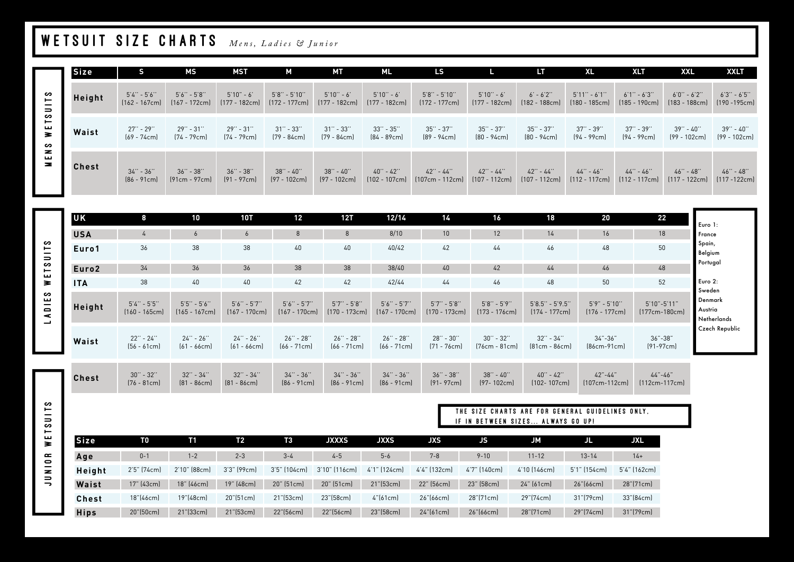# WETSUIT SIZE CHARTS *Mens, Ladies* & Junior

|          | <b>Size</b> | S.                                 | МS                                 | <b>MST</b>                      | М                                    | МT                              | ML                                           | <b>LS</b>                                                |                              | LT.                                                        | <b>XL</b>                           | <b>XLT</b>                         | <b>XXL</b>                         | <b>XXLT</b>                        |
|----------|-------------|------------------------------------|------------------------------------|---------------------------------|--------------------------------------|---------------------------------|----------------------------------------------|----------------------------------------------------------|------------------------------|------------------------------------------------------------|-------------------------------------|------------------------------------|------------------------------------|------------------------------------|
|          | Height      | $5'4'' - 5'6''$<br>$(162 - 167cm)$ | $5'6'' - 5'8''$<br>$(167 - 172cm)$ | $5'10" - 6'$<br>$(177 - 182cm)$ | $5'8'' - 5'10''$<br>$[172 - 177$ cm] | $5'10'' - 6'$                   | $5'10'' - 6'$<br>[177 - 182cm] [177 - 182cm] | $5'8'' - 5'10''$<br>$[172 - 177cm]$                      | 5'10'' - 6'<br>[177 - 182cm] | $6' - 6'2''$<br>[182 - 188cm]                              | $5'11'' - 6'1''$<br>$(180 - 185cm)$ | $6'1'' - 6'3''$<br>$(185 - 190cm)$ | $6'0'' - 6'2''$<br>$(183 - 188cm)$ | $6'3'' - 6'5''$<br>$(190 - 195cm)$ |
| WETSUITS | Waist       | 27'' - 29''<br>$[69 - 74$ cm       | $29'' - 31''$<br>$[74 - 79cm]$     | 29'' - 31''<br>[74 - 79cm]      | $31'' - 33''$<br>$[79 - 84cm]$       | 31" - 33"<br>[79 - 84cm]        | $33'' - 35''$<br>$[84 - 89cm]$               | $35'' - 37''$<br>(89 - 94cm)                             | 35'' - 37''<br>$[80 - 94cm]$ | $35^{\prime\prime}$ - $37^{\prime\prime}$<br>$[80 - 94$ cm | $37'' - 39''$<br>$(94 - 99cm)$      | $37'' - 39''$<br>$[94 - 99cm]$     | 39'' - 40''<br>$(99 - 102cm)$      | 39'' - 40''<br>$(99 - 102cm)$      |
| MENS     | Chest       | $34'' - 36''$<br>$[86 - 91$ cm]    | $36'' - 38''$<br>$[91cm - 97cm]$   | $36'' - 38''$<br>$[91 - 97$ cm  | $38'' - 40''$<br>$(97 - 102cm)$      | $38'' - 40''$<br>$[97 - 102$ cm | $40'' - 42''$                                | $42" - 44"$<br>$[102 - 107$ cm $]$ $[107$ cm - 112cm $]$ | $42" - 44"$<br>[107 - 112cm] | $42" - 44"$<br>[107 - 112cm]                               | $44" - 46"$<br>$[112 - 117cm]$      | $44" - 46"$<br>[112 - 117cm]       | $46'' - 48''$<br>[117 - 122cm]     | $46'' - 48''$<br>$[117 - 122cm]$   |

| <b>UK</b>         | 8                                  | 10                                 | 10T                                | 12                                 | 12T                                | 12/14                              | 14                                 | 16                                 | 18                                     | 20                                  | 22                                   | Euro 1:                                     |
|-------------------|------------------------------------|------------------------------------|------------------------------------|------------------------------------|------------------------------------|------------------------------------|------------------------------------|------------------------------------|----------------------------------------|-------------------------------------|--------------------------------------|---------------------------------------------|
| <b>USA</b>        | $\frac{1}{4}$                      | $\sigma$                           | 6                                  | 8                                  | 8                                  | 8/10                               | 10                                 | 12                                 | 14                                     | 16                                  | 18                                   | France                                      |
| Euro1             | 36                                 | 38                                 | 38                                 | 40                                 | 40                                 | 40/42                              | 42                                 | 44                                 | 46                                     | 48                                  | 50                                   | Spain,<br>Belgium                           |
| Euro <sub>2</sub> | 34                                 | 36                                 | 36                                 | 38                                 | 38                                 | 38/40                              | 40                                 | 42                                 | 44                                     | 46                                  | 48                                   | Portugal                                    |
| <b>ITA</b>        | 38                                 | 40                                 | 40                                 | 42                                 | 42                                 | 42/44                              | 44                                 | 46                                 | 48                                     | 50                                  | 52                                   | Euro 2:                                     |
| Height            | $5'4'' - 5'5''$<br>$[160 - 165cm]$ | $5'5'' - 5'6''$<br>$(165 - 167cm)$ | $5'6'' - 5'7''$<br>$(167 - 170cm)$ | $5'6'' - 5'7''$<br>$[167 - 170cm]$ | $5'7'' - 5'8''$<br>$(170 - 173cm)$ | $5'6'' - 5'7''$<br>$(167 - 170cm)$ | $5'7'' - 5'8''$<br>$[170 - 173cm]$ | $5'8'' - 5'9''$<br>$[173 - 176cm]$ | $5'8.5'' - 5'9.5''$<br>$[174 - 177cm]$ | $5'9'' - 5'10''$<br>$[176 - 177cm]$ | $5'10" - 5'11"$<br>$[177cm - 180cm]$ | Sweden<br>Denmark<br>Austria<br>Netherlands |
| Waist             | 22" - 24"<br>$[56 - 61cm]$         | $24'' - 26''$<br>$[61 - 66cm]$     | $24" - 26"$<br>$[61 - 66cm]$       | $26'' - 28''$<br>$[66 - 71cm]$     | $26'' - 28''$<br>$[66 - 71cm]$     | $26'' - 28''$<br>$[66 - 71cm]$     | $28'' - 30''$<br>$[71 - 76cm]$     | $30'' - 32''$<br>$[76cm - 81cm]$   | $32'' - 34''$<br>$[81cm - 86cm]$       | $34 - 36$<br>$[86cm-91cm]$          | $36 - 38$<br>$[91-97cm]$             | Czech Republic                              |
| <b>Chest</b>      | $30'' - 32''$<br>$[76 - 81cm]$     | $32'' - 34''$<br>$[81 - 86cm]$     | $32'' - 34''$<br>$[81 - 86cm]$     | $34'' - 36''$<br>$[86 - 91cm]$     | $34" - 36"$<br>$[86 - 91cm]$       | $34'' - 36''$<br>$[86 - 91cm]$     | $36'' - 38''$<br>$[91 - 97cm]$     | $38'' - 40''$<br>$(97 - 102cm)$    | $40'' - 42''$<br>$[102 - 107cm]$       | $42 - 44$<br>$[107cm-112cm]$        | $44 - 46$<br>$[112cm-117cm]$         |                                             |

SLINSLEM MELSOLLS SLIDSLEN WOTND

|             |              |              |             |                 |               |                 |                     | THE SIZE CHARTS ARE FOR GENERAL GUIDELINES ONLY.<br>IF IN BETWEEN SIZES ALWAYS GO UP! |              |              |              |  |  |  |
|-------------|--------------|--------------|-------------|-----------------|---------------|-----------------|---------------------|---------------------------------------------------------------------------------------|--------------|--------------|--------------|--|--|--|
| <b>Size</b> | T0           | T1           | Τ2          | TЗ              | <b>JXXXS</b>  | <b>JXXS</b>     | <b>JXS</b>          | JS.                                                                                   | <b>JM</b>    | JL           | <b>JXL</b>   |  |  |  |
| Age         | $0 - 1$      | $1 - 2$      | $2 - 3$     | $3 - 4$         | $4 - 5$       | $5 - 6$         | $7 - 8$             | $9 - 10$                                                                              | $11 - 12$    | $13 - 14$    | $14+$        |  |  |  |
| Height      | 2'5" (74cm)  | 2'10" (88cm) | 3'3" (99cm) | 3'5" (104cm)    | 3'10" (116cm) | 4'1" (124cm)    | 4'4" (132cm)        | 4'7" (140cm)                                                                          | 4'10 (146cm) | 5'1" (154cm) | 5'4" (162cm) |  |  |  |
| Waist       | $17"$ (43cm) | 18" (46cm)   | 19" (48cm)  | 20" (51cm)      | 20" (51cm)    | 21"(53cm)       | 22" (56cm)          | 23" (58cm)                                                                            | $24"$ (61cm) | 26''[66cm]   | 28"(71cm)    |  |  |  |
| Chest       | 18"(46cm)    | 19"(48cm)    | 20"(51cm)   | $21$ " $(53cm)$ | 23"(58cm)     | $4^{16}$ (61cm) | 26"(66cm)           | 28"[71cm]                                                                             | 29"(74cm)    | 31"[79cm]    | 33"(84cm)    |  |  |  |
| <b>Hips</b> | 20"(50cm)    | $21$ "(33cm) | 21"(53cm)   | 22"(56cm)       | 22"(56cm)     | 23"(58cm)       | $24^{\circ}$ [61cm] | 26"[66cm]                                                                             | 28"(71cm)    | 29"(74cm)    | 31"[79cm]    |  |  |  |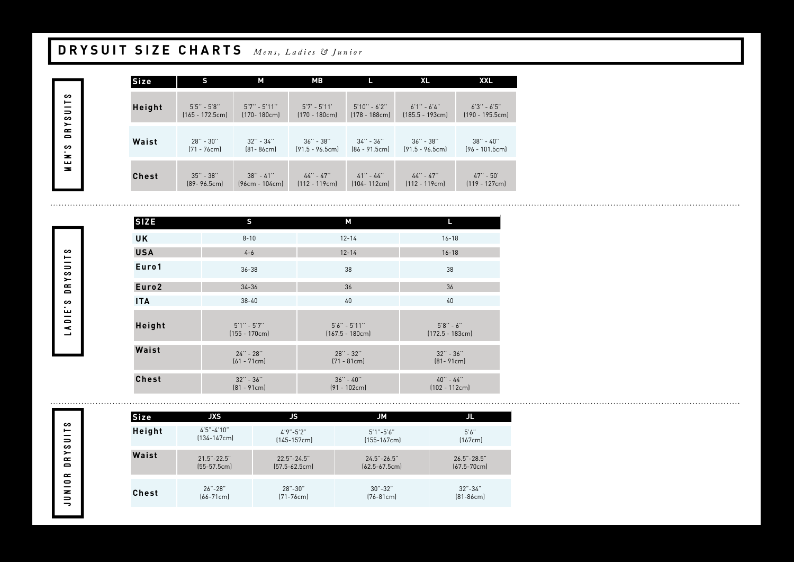# **DRYSUIT SIZE CHARTS** *Mens, Ladies* & Junior

MEN'S DRYSUITS

| Size         | S                 | М                | МB                |                  | <b>XL</b>         | <b>XXL</b>        |
|--------------|-------------------|------------------|-------------------|------------------|-------------------|-------------------|
| Height       | $5'5'' - 5'8''$   | $5'7'' - 5'11''$ | $5'7' - 5'11'$    | $5'10'' - 6'2''$ | $6'1'' - 6'4''$   | $6'3'' - 6'5''$   |
|              | $[165 - 172.5cm]$ | $[170 - 180$ cm] | $[170 - 180cm]$   | $[178 - 188cm]$  | $[185.5 - 193cm]$ | $[190 - 195.5cm]$ |
| Waist        | $28'' - 30''$     | $32'' - 34''$    | $36'' - 38''$     | $34'' - 36''$    | $36'' - 38''$     | $38'' - 40''$     |
|              | $[71 - 76$ cm]    | $[81 - 86cm]$    | $[91.5 - 96.5cm]$ | $[86 - 91.5cm]$  | $[91.5 - 96.5cm]$ | $(96 - 101.5cm)$  |
| <b>Chest</b> | $35'' - 38''$     | $38'' - 41''$    | $44'' - 47''$     | $41" - 44"$      | $44" - 47"$       | $47'' - 50'$      |
|              | $[89 - 96.5cm]$   | $(96cm - 104cm)$ | $[112 - 119cm]$   | $[104 - 112cm]$  | $[112 - 119cm]$   | $[119 - 127cm]$   |

| <b>SIZE</b>       | S                                  | М                                     | L                                  |
|-------------------|------------------------------------|---------------------------------------|------------------------------------|
| <b>UK</b>         | $8 - 10$                           | $12 - 14$                             | $16 - 18$                          |
| <b>USA</b>        | $4 - 6$                            | $12 - 14$                             | $16 - 18$                          |
| Euro1             | $36 - 38$                          | 38                                    | 38                                 |
| Euro <sub>2</sub> | $34 - 36$                          | 36                                    | 36                                 |
| <b>ITA</b>        | $38 - 40$                          | 40                                    | 40                                 |
| Height            | $5'1'' - 5'7''$<br>$(155 - 170cm)$ | $5'6'' - 5'11''$<br>$(167.5 - 180cm)$ | $5'8'' - 6''$<br>$[172.5 - 183cm]$ |
| Waist             | $24" - 28"$<br>$[61 - 71cm]$       | $28'' - 32''$<br>$[71 - 81cm]$        | $32'' - 36''$<br>$[81 - 91cm]$     |
| <b>Chest</b>      | $32'' - 36''$<br>$[81 - 91cm]$     | $36'' - 40''$<br>$[91 - 102cm]$       | $40'' - 44''$<br>$[102 - 112cm]$   |

LADIE'S DRYSUITS LADIE'S DRYSUITS

| Size         | <b>JXST</b>      | JS                | JM                |                 |
|--------------|------------------|-------------------|-------------------|-----------------|
| Height       | $4'5'' - 4'10''$ | $4'9''-5'2''$     | $5'1'' - 5'6''$   | 5'6''           |
|              | $[134 - 147$ cm  | $[145-157cm]$     | $[155 - 167$ cm   | [167cm]         |
| Waist        | $21.5 - 22.5$    | $22.5 - 24.5$     | $24.5 - 26.5$     | $26.5 - 28.5$   |
|              | $[55-57.5cm]$    | $[57.5 - 62.5cm]$ | $[62.5 - 67.5cm]$ | $[67.5 - 70cm]$ |
| <b>Chest</b> | $26 - 28$        | $28 - 30$         | $30 - 32$         | $32 - 34$ "     |
|              | $[66 - 71$ cm    | $[71 - 76$ cm]    | $[76 - 81$ cm]    | $[81-86cm]$     |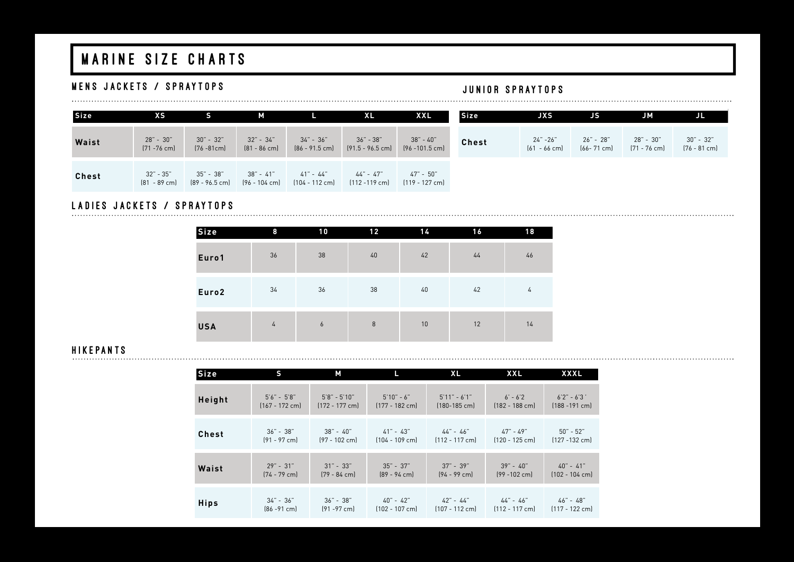# MARINE SIZE CHARTS

### MENS JACKETS / SPRAYTOPS **and the set of the set of the set of the set of the set of the set of the set of the set of the set of the set of the set of the set of the set of the set of the set of the set of the set of the s**

| <b>Size</b>  | XS                            |                             | М                             |                             | <b>XL</b>                       | XXL                              | Size  | <b>JXS</b>                    | JS                        | <b>JM</b>                   | JL                          |
|--------------|-------------------------------|-----------------------------|-------------------------------|-----------------------------|---------------------------------|----------------------------------|-------|-------------------------------|---------------------------|-----------------------------|-----------------------------|
| Waist        | $28" - 30"$<br>$[71 - 76$ cm] | $30 - 32$<br>$[76 - 81$ cm] | $32" - 34"$<br>$[81 - 86$ cm] | 34"-36"<br>$[86 - 91.5$ cm] | 36" - 38"<br>$[91.5 - 96.5$ cm] | $38" - 40"$<br>$[96 - 101.5$ cm] | Chest | $24" - 26"$<br>$[61 - 66$ cm] | 26"-28"<br>$[66 - 71$ cm] | 28" - 30"<br>$[71 - 76$ cm] | $30 - 32$<br>$[76 - 81$ cm] |
| <b>Chest</b> | 32" - 35"<br>$[81 - 89$ cm]   | 35"-38"<br>(89 - 96.5 cm)   | 38"-41"<br>(96 - 104 cm)      | $41 - 44$<br>(104 - 112 cm) | 44" - 47"<br>[112 -119 cm]      | 47" - 50"<br>$[119 - 127$ cm]    |       |                               |                           |                             |                             |

# LADIES JACKETS / SPRAYTOPS

| Size              | 8  | 10 | 12 | 14 | 16 | 18 |
|-------------------|----|----|----|----|----|----|
| Euro1             | 36 | 38 | 40 | 42 | 44 | 46 |
| Euro <sub>2</sub> | 34 | 36 | 38 | 40 | 42 | 4  |
| <b>USA</b>        | 4  | 6  | 8  | 10 | 12 | 14 |

### H I K E PAN TS

| <b>Size</b>  | s               | М                |                 | XL              | <b>XXL</b>      | <b>XXXL</b>      |
|--------------|-----------------|------------------|-----------------|-----------------|-----------------|------------------|
| Height       | $5'6'' - 5'8''$ | $5'8'' - 5'10''$ | $5'10" - 6"$    | $5'11" - 6'1"$  | $6' - 6'2$      | $6'2'' - 6'3'$   |
|              | $[167 - 172$ cm | $[172 - 177$ cm] | $[177 - 182$ cm | $[180 - 185$ cm | $[182 - 188$ cm | $[188 - 191$ cm] |
| <b>Chest</b> | $36" - 38"$     | 38"-40"          | $41" - 43"$     | 44"-46"         | 47" - 49"       | $50" - 52"$      |
|              | $[91 - 97$ cm   | $[97 - 102$ cm   | $[104 - 109$ cm | $[112 - 117$ cm | $(120 - 125$ cm | $[127 - 132$ cm] |
| Waist        | $29" - 31"$     | $31" - 33"$      | $35" - 37"$     | $37 - 39$       | $39" - 40"$     | $40 - 41$        |
|              | $[74 - 79$ cm   | $[79 - 84$ cm    | $[89 - 94$ cm]  | $[94 - 99$ cm]  | $(99 - 102$ cm  | $[102 - 104$ cm] |
| <b>Hips</b>  | $34 - 36$       | 36" - 38"        | 40"-42"         | 42" - 44"       | 44"-46"         | 46"-48"          |
|              | $[86 - 91$ cm   | $[91 - 97$ cm    | $[102 - 107$ cm | $[107 - 112$ cm | $[112 - 117$ cm | $[117 - 122$ cm  |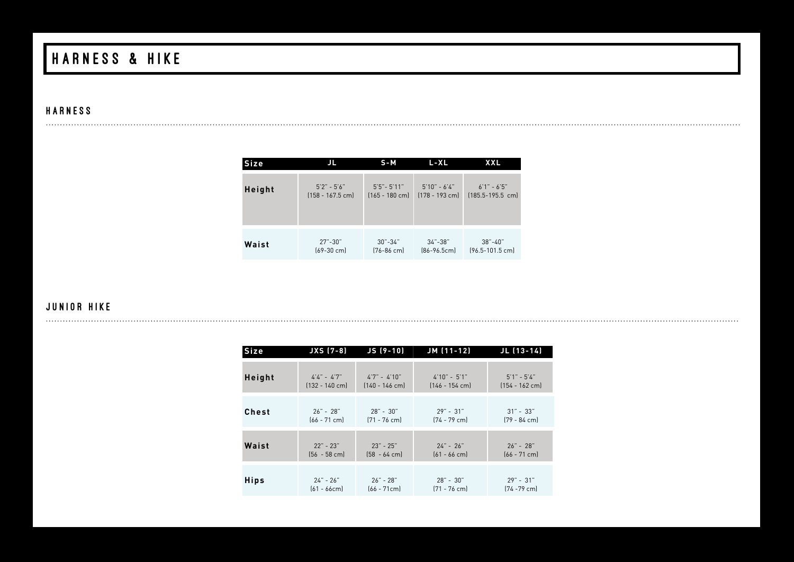# HARNESS & HIKE

#### **HARNESS**

| <b>Size</b> | JL                   | $S - M$          | $L - XL$         | <b>XXL</b>          |
|-------------|----------------------|------------------|------------------|---------------------|
| Height      | $5'2" - 5'6"$        | $5'5'' - 5'11''$ | $5'10" - 6'4"$   | $6'1'' - 6'5''$     |
|             | $[158 - 167.5$ cm    | $[165 - 180$ cm  | $[178 - 193$ cm] | $[185.5 - 195.5$ cm |
| Waist       | $27 - 30$ "          | $30 - 34$ "      | $34 - 38$        | $38 - 40'$          |
|             | $(69-30 \text{ cm})$ | $[76 - 86$ cm]   | $[86 - 96.5cm]$  | $(96.5 - 101.5$ cm  |

#### JUNIOR HIKE

| <b>Size</b>  | $JXS(7-8)$       | $JS(9-10)$       | JM (11-12)       | $JL$ (13-14)     |
|--------------|------------------|------------------|------------------|------------------|
| Height       | $4'4'' - 4'7''$  | $4'7'' - 4'10''$ | $4'10" - 5'1"$   | $5'1'' - 5'4''$  |
|              | $[132 - 140$ cm] | $[140 - 146$ cm] | $[146 - 154$ cm] | $[154 - 162$ cm] |
| <b>Chest</b> | $26" - 28"$      | $28" - 30"$      | $29" - 31"$      | $31" - 33"$      |
|              | $[66 - 71$ cm]   | $[71 - 76$ cm]   | $[74 - 79$ cm    | $[79 - 84$ cm]   |
| Waist        | $22" - 23"$      | $23" - 25"$      | $24" - 26"$      | $26" - 28"$      |
|              | $[56 - 58$ cm]   | $[58 - 64$ cm]   | $[61 - 66$ cm    | $[66 - 71$ cm    |
| <b>Hips</b>  | $24 - 26$        | $26" - 28"$      | $28" - 30"$      | $29" - 31"$      |
|              | $[61 - 66cm]$    | $[66 - 71$ cm]   | $[71 - 76$ cm    | $[74 - 79$ cm]   |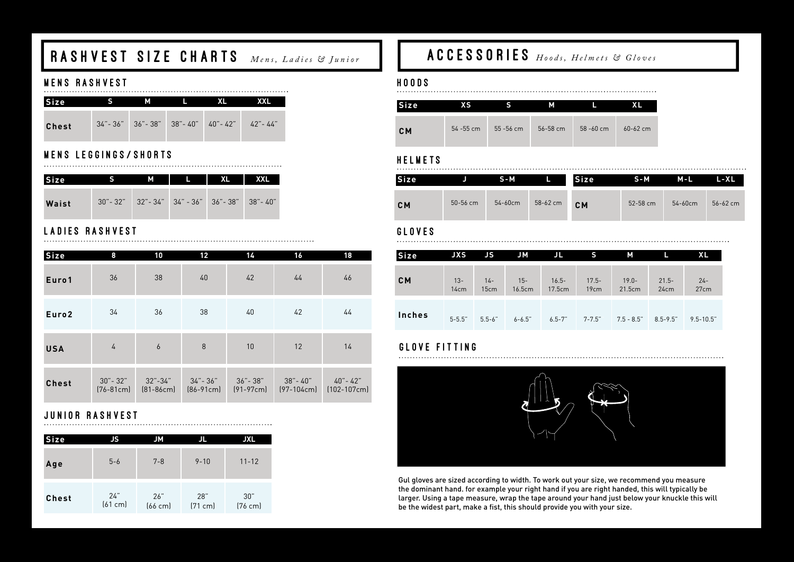# RASHVEST SIZE CHARTS *Mens, Ladies* & Junior

### MENS RASHVEST

| Size         | м                                                   |  | XXL |
|--------------|-----------------------------------------------------|--|-----|
| <b>Chest</b> | $34 - 36$ " 36" - 38" 38" - 40" 40" - 42" 42" - 44" |  |     |

# MENS LEGGINGS/SHORTS

| <b>Size</b> | м | ta kacamatan Ing Panalung Kabupatén Ing Kabu                | XXL |
|-------------|---|-------------------------------------------------------------|-----|
| Waist       |   | $30 - 32$ " $32 - 34$ " $34 - 36$ " $36 - 38$ " $38 - 40$ " |     |

# LADIES RASHVEST

| Size              | 8                            | 10                       | 12      | 14                                 | 16       | 18                                     |
|-------------------|------------------------------|--------------------------|---------|------------------------------------|----------|----------------------------------------|
| Euro1             | 36                           | 38                       | 40      | 42                                 | 44       | 46                                     |
| Euro <sub>2</sub> | 34                           | 36                       | 38      | 40                                 | 42       | 44                                     |
| <b>USA</b>        | $\overline{4}$               | $\overline{6}$           | 8       | 10                                 | 12       | 14                                     |
| <b>Chest</b>      | $30 - 32$ "<br>$[76 - 81$ cm | 32"-34"<br>$[81 - 86$ cm | 34"-36" | 36"-38"<br>$[86-91cm]$ $[91-97cm]$ | 38"- 40" | 40"- 42"<br>$[97-104cm]$ $[102-107cm]$ |

# JUNIOR RASHVEST

| Size         | JS.            | JM                  | Л              | <b>JXL</b>               |
|--------------|----------------|---------------------|----------------|--------------------------|
| Age          | $5 - 6$        | $7 - 8$             | $9 - 10$       | $11 - 12$                |
| <b>Chest</b> | 24"<br>[61 cm] | 26"<br>$[66$ cm $]$ | 28"<br>[71 cm] | 30"<br>$(76 \text{ cm})$ |

# ACCESSORIES *Hoods, Helmets & Gloves*

#### HOODS

| <b>Size</b> | χS           |              | м        |              |              |
|-------------|--------------|--------------|----------|--------------|--------------|
| <b>CM</b>   | $54 - 55$ cm | $55 - 56$ cm | 56-58 cm | $58 - 60$ cm | $60 - 62$ cm |

#### **HELMETS**

| Size. |              | S-M          |          | <b>Size</b> | S-M          | M-L          | L-XL         |
|-------|--------------|--------------|----------|-------------|--------------|--------------|--------------|
| CM    | $50 - 56$ cm | $54 - 60$ cm | 58-62 cm | <b>CM</b>   | $52 - 58$ cm | $54 - 60$ cm | $56 - 62$ cm |

### GLOVES ( )

| Size   | <b>JXS</b>     | JS            | <b>JM</b>        | IJL                | s                | М                  |                  | XL             |
|--------|----------------|---------------|------------------|--------------------|------------------|--------------------|------------------|----------------|
| CM     | $13 -$<br>14cm | $14-$<br>15cm | $15 -$<br>16.5cm | $16.5 -$<br>17.5cm | $17.5 -$<br>19cm | $19.0 -$<br>21.5cm | $21.5 -$<br>24cm | $24 -$<br>27cm |
| Inches | $5 - 5.5"$     | $5.5 - 6"$    | $6 - 6.5"$       | $6.5 - 7"$         | $7 - 7.5"$       | $7.5$ - $8.5$ "    | $8.5 - 9.5$ "    | $9.5 - 10.5$ " |

#### GLOVE FITTING



Gul gloves are sized according to width. To work out your size, we recommend you measure the dominant hand. for example your right hand if you are right handed, this will typically be larger. Using a tape measure, wrap the tape around your hand just below your knuckle this will be the widest part, make a fist, this should provide you with your size.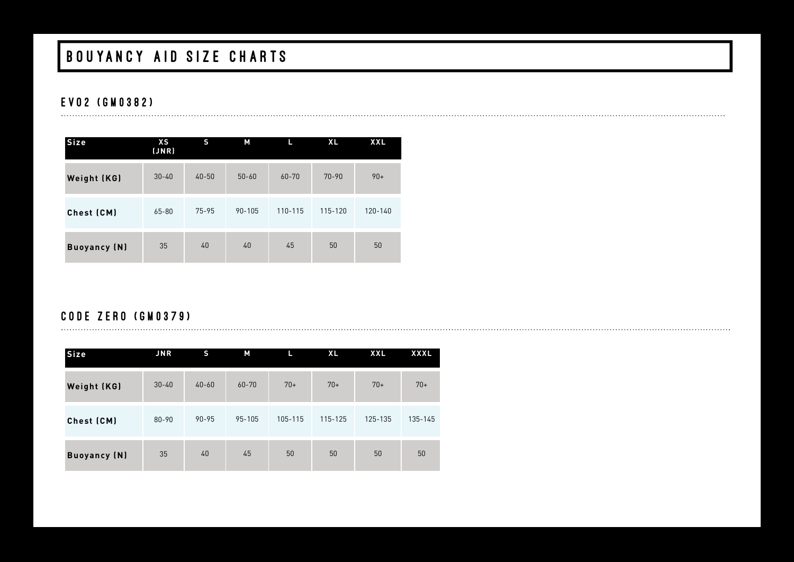# BOUYANCY AID SIZE CHARTS

### EVO2 (GM0382)

| Size                | XS<br>JNR | S         | М          | L         | <b>XL</b> | <b>XXL</b> |
|---------------------|-----------|-----------|------------|-----------|-----------|------------|
| Weight (KG)         | $30 - 40$ | $40 - 50$ | $50 - 60$  | $60 - 70$ | $70 - 90$ | $90+$      |
| Chest (CM)          | 65-80     | $75 - 95$ | $90 - 105$ | 110-115   | 115-120   | 120-140    |
| <b>Buoyancy (N)</b> | 35        | 40        | 40         | 45        | 50        | 50         |

### CODE ZERO (GM0379)

| <b>Size</b>         | JNR       | S         | М         | L       | <b>XL</b> | <b>XXL</b> | <b>XXXL</b> |
|---------------------|-----------|-----------|-----------|---------|-----------|------------|-------------|
| Weight (KG)         | $30 - 40$ | $40 - 60$ | $60 - 70$ | $70+$   | $70+$     | $70+$      | $70+$       |
| Chest (CM)          | 80-90     | $90 - 95$ | 95-105    | 105-115 | 115-125   | 125-135    | 135-145     |
| <b>Buoyancy (N)</b> | 35        | 40        | 45        | 50      | 50        | 50         | 50          |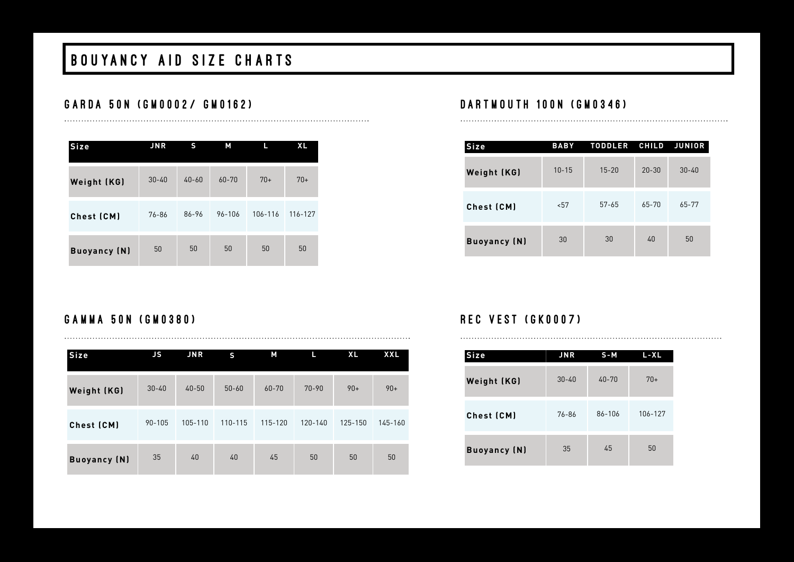# BOUYANCY AID SIZE CHARTS

### GARDA 50N (GM0002/ GM0162)

| <b>Size</b>         | <b>JNR</b> | S         | М         | П       | <b>XL</b> |
|---------------------|------------|-----------|-----------|---------|-----------|
| Weight (KG)         | $30 - 40$  | $40 - 60$ | $60 - 70$ | $70+$   | $70+$     |
| Chest (CM)          | 76-86      | 86-96     | 96-106    | 106-116 | 116-127   |
| <b>Buoyancy (N)</b> | 50         | 50        | 50        | 50      | 50        |

### DARTMOUTH 100N (GM0346)

| <b>Size</b>         | <b>BABY</b> | <b>TODDLER</b> | <b>CHILD</b> | JUNIOR    |
|---------------------|-------------|----------------|--------------|-----------|
| Weight (KG)         | $10 - 15$   | $15 - 20$      | $20 - 30$    | $30 - 40$ |
| Chest (CM)          | < 57        | $57 - 65$      | $65 - 70$    | $65 - 77$ |
| <b>Buoyancy</b> (N) | 30          | 30             | 40           | 50        |

### GAMMA 50N (GM0380)

| Size                | JS        | JNR       | S         | М         | L         | <b>XL</b> | XXL     |
|---------------------|-----------|-----------|-----------|-----------|-----------|-----------|---------|
| Weight (KG)         | $30 - 40$ | $40 - 50$ | $50 - 60$ | $60 - 70$ | $70 - 90$ | $90+$     | $90+$   |
| Chest (CM)          | 90-105    | 105-110   | 110-115   | 115-120   | 120-140   | 125-150   | 145-160 |
| <b>Buoyancy (N)</b> | 35        | 40        | 40        | 45        | 50        | 50        | 50      |

### **REC VEST (GK0007)**

| <b>Size</b>         | JNR       | $S - M$   | L-XL    |
|---------------------|-----------|-----------|---------|
| Weight (KG)         | $30 - 40$ | $40 - 70$ | $70+$   |
| Chest (CM)          | 76-86     | 86-106    | 106-127 |
| <b>Buoyancy (N)</b> | 35        | 45        | 50      |